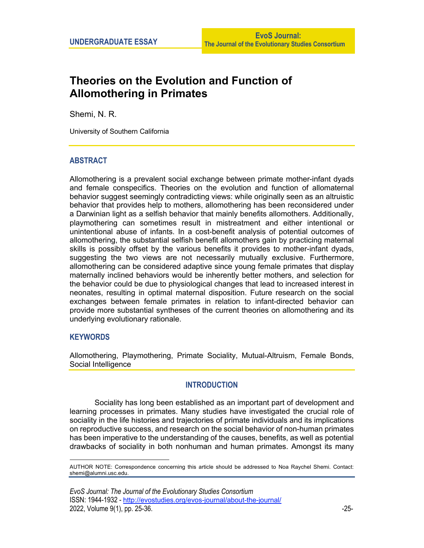# **Theories on the Evolution and Function of Allomothering in Primates**

Shemi, N. R.

University of Southern California

# **ABSTRACT**

Allomothering is a prevalent social exchange between primate mother-infant dyads and female conspecifics. Theories on the evolution and function of allomaternal behavior suggest seemingly contradicting views: while originally seen as an altruistic behavior that provides help to mothers, allomothering has been reconsidered under a Darwinian light as a selfish behavior that mainly benefits allomothers. Additionally, playmothering can sometimes result in mistreatment and either intentional or unintentional abuse of infants. In a cost-benefit analysis of potential outcomes of allomothering, the substantial selfish benefit allomothers gain by practicing maternal skills is possibly offset by the various benefits it provides to mother-infant dyads, suggesting the two views are not necessarily mutually exclusive. Furthermore, allomothering can be considered adaptive since young female primates that display maternally inclined behaviors would be inherently better mothers, and selection for the behavior could be due to physiological changes that lead to increased interest in neonates, resulting in optimal maternal disposition. Future research on the social exchanges between female primates in relation to infant-directed behavior can provide more substantial syntheses of the current theories on allomothering and its underlying evolutionary rationale.

# **KEYWORDS**

Allomothering, Playmothering, Primate Sociality, Mutual-Altruism, Female Bonds, Social Intelligence

# **INTRODUCTION**

Sociality has long been established as an important part of development and learning processes in primates. Many studies have investigated the crucial role of sociality in the life histories and trajectories of primate individuals and its implications on reproductive success, and research on the social behavior of non-human primates has been imperative to the understanding of the causes, benefits, as well as potential drawbacks of sociality in both nonhuman and human primates. Amongst its many

*EvoS Journal: The Journal of the Evolutionary Studies Consortium* ISSN: 1944-1932 - http://evostudies.org/evos-journal/about-the-journal/ 2022, Volume 9(1), pp. 25-36.  $\sim$ 

AUTHOR NOTE: Correspondence concerning this article should be addressed to Noa Raychel Shemi. Contact: shemi@alumni.usc.edu.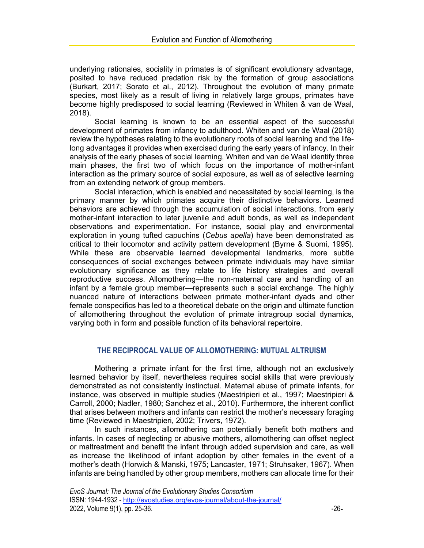underlying rationales, sociality in primates is of significant evolutionary advantage, posited to have reduced predation risk by the formation of group associations (Burkart, 2017; Sorato et al., 2012). Throughout the evolution of many primate species, most likely as a result of living in relatively large groups, primates have become highly predisposed to social learning (Reviewed in Whiten & van de Waal, 2018).

Social learning is known to be an essential aspect of the successful development of primates from infancy to adulthood. Whiten and van de Waal (2018) review the hypotheses relating to the evolutionary roots of social learning and the lifelong advantages it provides when exercised during the early years of infancy. In their analysis of the early phases of social learning, Whiten and van de Waal identify three main phases, the first two of which focus on the importance of mother-infant interaction as the primary source of social exposure, as well as of selective learning from an extending network of group members.

Social interaction, which is enabled and necessitated by social learning, is the primary manner by which primates acquire their distinctive behaviors. Learned behaviors are achieved through the accumulation of social interactions, from early mother-infant interaction to later juvenile and adult bonds, as well as independent observations and experimentation. For instance, social play and environmental exploration in young tufted capuchins (*Cebus apella*) have been demonstrated as critical to their locomotor and activity pattern development (Byrne & Suomi, 1995). While these are observable learned developmental landmarks, more subtle consequences of social exchanges between primate individuals may have similar evolutionary significance as they relate to life history strategies and overall reproductive success. Allomothering—the non-maternal care and handling of an infant by a female group member—represents such a social exchange. The highly nuanced nature of interactions between primate mother-infant dyads and other female conspecifics has led to a theoretical debate on the origin and ultimate function of allomothering throughout the evolution of primate intragroup social dynamics, varying both in form and possible function of its behavioral repertoire.

# **THE RECIPROCAL VALUE OF ALLOMOTHERING: MUTUAL ALTRUISM**

Mothering a primate infant for the first time, although not an exclusively learned behavior by itself, nevertheless requires social skills that were previously demonstrated as not consistently instinctual. Maternal abuse of primate infants, for instance, was observed in multiple studies (Maestripieri et al., 1997; Maestripieri & Carroll, 2000; Nadler, 1980; Sanchez et al., 2010). Furthermore, the inherent conflict that arises between mothers and infants can restrict the mother's necessary foraging time (Reviewed in Maestripieri, 2002; Trivers, 1972).

In such instances, allomothering can potentially benefit both mothers and infants. In cases of neglecting or abusive mothers, allomothering can offset neglect or maltreatment and benefit the infant through added supervision and care, as well as increase the likelihood of infant adoption by other females in the event of a mother's death (Horwich & Manski, 1975; Lancaster, 1971; Struhsaker, 1967). When infants are being handled by other group members, mothers can allocate time for their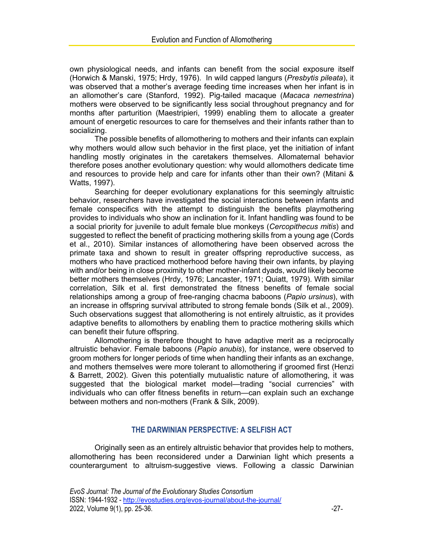own physiological needs, and infants can benefit from the social exposure itself (Horwich & Manski, 1975; Hrdy, 1976). In wild capped langurs (*Presbytis pileata*), it was observed that a mother's average feeding time increases when her infant is in an allomother's care (Stanford, 1992). Pig-tailed macaque (*Macaca nemestrina*) mothers were observed to be significantly less social throughout pregnancy and for months after parturition (Maestripieri, 1999) enabling them to allocate a greater amount of energetic resources to care for themselves and their infants rather than to socializing.

The possible benefits of allomothering to mothers and their infants can explain why mothers would allow such behavior in the first place, yet the initiation of infant handling mostly originates in the caretakers themselves. Allomaternal behavior therefore poses another evolutionary question: why would allomothers dedicate time and resources to provide help and care for infants other than their own? (Mitani & Watts, 1997).

Searching for deeper evolutionary explanations for this seemingly altruistic behavior, researchers have investigated the social interactions between infants and female conspecifics with the attempt to distinguish the benefits playmothering provides to individuals who show an inclination for it. Infant handling was found to be a social priority for juvenile to adult female blue monkeys (*Cercopithecus mitis*) and suggested to reflect the benefit of practicing mothering skills from a young age (Cords et al., 2010). Similar instances of allomothering have been observed across the primate taxa and shown to result in greater offspring reproductive success, as mothers who have practiced motherhood before having their own infants, by playing with and/or being in close proximity to other mother-infant dyads, would likely become better mothers themselves (Hrdy, 1976; Lancaster, 1971; Quiatt, 1979). With similar correlation, Silk et al. first demonstrated the fitness benefits of female social relationships among a group of free-ranging chacma baboons (*Papio ursinus*), with an increase in offspring survival attributed to strong female bonds (Silk et al., 2009). Such observations suggest that allomothering is not entirely altruistic, as it provides adaptive benefits to allomothers by enabling them to practice mothering skills which can benefit their future offspring.

Allomothering is therefore thought to have adaptive merit as a reciprocally altruistic behavior. Female baboons (*Papio anubis*), for instance, were observed to groom mothers for longer periods of time when handling their infants as an exchange, and mothers themselves were more tolerant to allomothering if groomed first (Henzi & Barrett, 2002). Given this potentially mutualistic nature of allomothering, it was suggested that the biological market model—trading "social currencies" with individuals who can offer fitness benefits in return—can explain such an exchange between mothers and non-mothers (Frank & Silk, 2009).

# **THE DARWINIAN PERSPECTIVE: A SELFISH ACT**

Originally seen as an entirely altruistic behavior that provides help to mothers, allomothering has been reconsidered under a Darwinian light which presents a counterargument to altruism-suggestive views. Following a classic Darwinian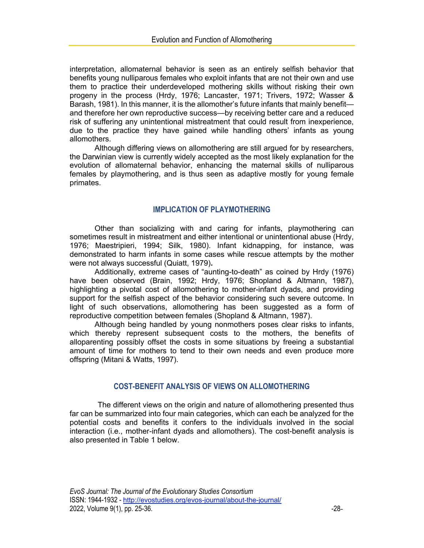interpretation, allomaternal behavior is seen as an entirely selfish behavior that benefits young nulliparous females who exploit infants that are not their own and use them to practice their underdeveloped mothering skills without risking their own progeny in the process (Hrdy, 1976; Lancaster, 1971; Trivers, 1972; Wasser & Barash, 1981). In this manner, it is the allomother's future infants that mainly benefit and therefore her own reproductive success—by receiving better care and a reduced risk of suffering any unintentional mistreatment that could result from inexperience, due to the practice they have gained while handling others' infants as young allomothers.

Although differing views on allomothering are still argued for by researchers, the Darwinian view is currently widely accepted as the most likely explanation for the evolution of allomaternal behavior, enhancing the maternal skills of nulliparous females by playmothering, and is thus seen as adaptive mostly for young female primates.

## **IMPLICATION OF PLAYMOTHERING**

Other than socializing with and caring for infants, playmothering can sometimes result in mistreatment and either intentional or unintentional abuse (Hrdy, 1976; Maestripieri, 1994; Silk, 1980). Infant kidnapping, for instance, was demonstrated to harm infants in some cases while rescue attempts by the mother were not always successful (Quiatt, 1979)**.**

Additionally, extreme cases of "aunting-to-death" as coined by Hrdy (1976) have been observed (Brain, 1992; Hrdy, 1976; Shopland & Altmann, 1987), highlighting a pivotal cost of allomothering to mother-infant dyads, and providing support for the selfish aspect of the behavior considering such severe outcome. In light of such observations, allomothering has been suggested as a form of reproductive competition between females (Shopland & Altmann, 1987).

Although being handled by young nonmothers poses clear risks to infants, which thereby represent subsequent costs to the mothers, the benefits of alloparenting possibly offset the costs in some situations by freeing a substantial amount of time for mothers to tend to their own needs and even produce more offspring (Mitani & Watts, 1997).

## **COST-BENEFIT ANALYSIS OF VIEWS ON ALLOMOTHERING**

The different views on the origin and nature of allomothering presented thus far can be summarized into four main categories, which can each be analyzed for the potential costs and benefits it confers to the individuals involved in the social interaction (i.e., mother-infant dyads and allomothers). The cost-benefit analysis is also presented in Table 1 below.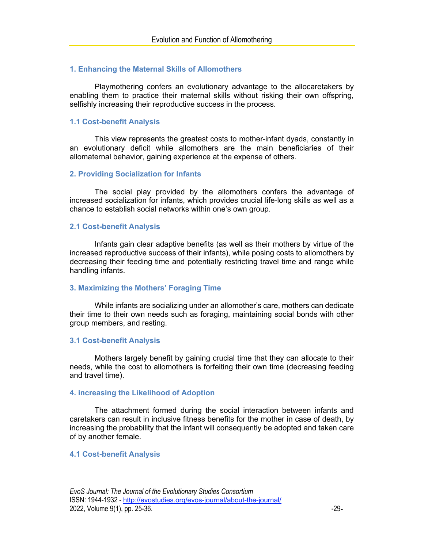## **1. Enhancing the Maternal Skills of Allomothers**

Playmothering confers an evolutionary advantage to the allocaretakers by enabling them to practice their maternal skills without risking their own offspring, selfishly increasing their reproductive success in the process.

## **1.1 Cost-benefit Analysis**

This view represents the greatest costs to mother-infant dyads, constantly in an evolutionary deficit while allomothers are the main beneficiaries of their allomaternal behavior, gaining experience at the expense of others.

#### **2. Providing Socialization for Infants**

The social play provided by the allomothers confers the advantage of increased socialization for infants, which provides crucial life-long skills as well as a chance to establish social networks within one's own group.

#### **2.1 Cost-benefit Analysis**

Infants gain clear adaptive benefits (as well as their mothers by virtue of the increased reproductive success of their infants), while posing costs to allomothers by decreasing their feeding time and potentially restricting travel time and range while handling infants.

## **3. Maximizing the Mothers' Foraging Time**

While infants are socializing under an allomother's care, mothers can dedicate their time to their own needs such as foraging, maintaining social bonds with other group members, and resting.

#### **3.1 Cost-benefit Analysis**

Mothers largely benefit by gaining crucial time that they can allocate to their needs, while the cost to allomothers is forfeiting their own time (decreasing feeding and travel time).

### **4. increasing the Likelihood of Adoption**

The attachment formed during the social interaction between infants and caretakers can result in inclusive fitness benefits for the mother in case of death, by increasing the probability that the infant will consequently be adopted and taken care of by another female.

#### **4.1 Cost-benefit Analysis**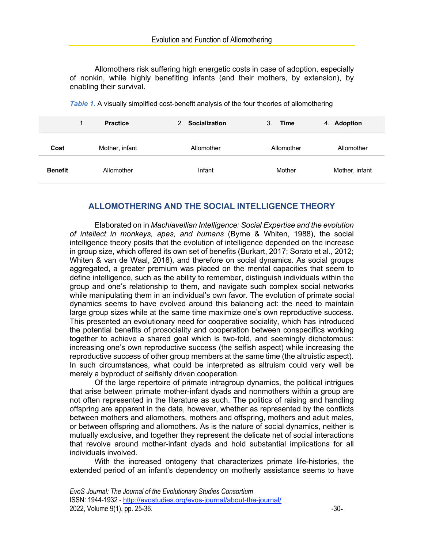Allomothers risk suffering high energetic costs in case of adoption, especially of nonkin, while highly benefiting infants (and their mothers, by extension), by enabling their survival.

|                | <b>Practice</b> | 2. Socialization | 3.<br>Time | 4. Adoption    |
|----------------|-----------------|------------------|------------|----------------|
| Cost           | Mother, infant  | Allomother       | Allomother | Allomother     |
| <b>Benefit</b> | Allomother      | Infant           | Mother     | Mother, infant |

*Table 1.* A visually simplified cost-benefit analysis of the four theories of allomothering

# **ALLOMOTHERING AND THE SOCIAL INTELLIGENCE THEORY**

Elaborated on in *Machiavellian Intelligence: Social Expertise and the evolution of intellect in monkeys, apes, and humans* (Byrne & Whiten, 1988), the social intelligence theory posits that the evolution of intelligence depended on the increase in group size, which offered its own set of benefits (Burkart, 2017; Sorato et al., 2012; Whiten & van de Waal, 2018), and therefore on social dynamics. As social groups aggregated, a greater premium was placed on the mental capacities that seem to define intelligence, such as the ability to remember, distinguish individuals within the group and one's relationship to them, and navigate such complex social networks while manipulating them in an individual's own favor. The evolution of primate social dynamics seems to have evolved around this balancing act: the need to maintain large group sizes while at the same time maximize one's own reproductive success. This presented an evolutionary need for cooperative sociality, which has introduced the potential benefits of prosociality and cooperation between conspecifics working together to achieve a shared goal which is two-fold, and seemingly dichotomous: increasing one's own reproductive success (the selfish aspect) while increasing the reproductive success of other group members at the same time (the altruistic aspect). In such circumstances, what could be interpreted as altruism could very well be merely a byproduct of selfishly driven cooperation.

Of the large repertoire of primate intragroup dynamics, the political intrigues that arise between primate mother-infant dyads and nonmothers within a group are not often represented in the literature as such. The politics of raising and handling offspring are apparent in the data, however, whether as represented by the conflicts between mothers and allomothers, mothers and offspring, mothers and adult males, or between offspring and allomothers. As is the nature of social dynamics, neither is mutually exclusive, and together they represent the delicate net of social interactions that revolve around mother-infant dyads and hold substantial implications for all individuals involved.

With the increased ontogeny that characterizes primate life-histories, the extended period of an infant's dependency on motherly assistance seems to have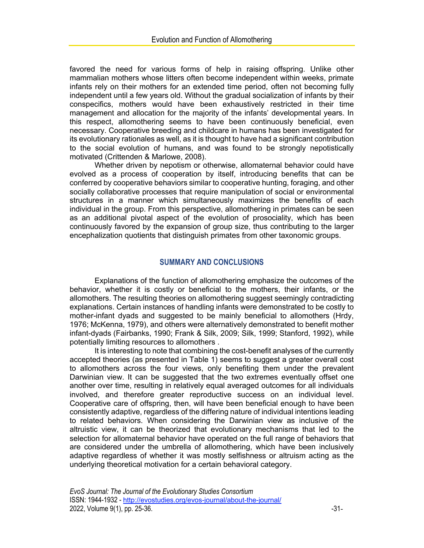favored the need for various forms of help in raising offspring. Unlike other mammalian mothers whose litters often become independent within weeks, primate infants rely on their mothers for an extended time period, often not becoming fully independent until a few years old. Without the gradual socialization of infants by their conspecifics, mothers would have been exhaustively restricted in their time management and allocation for the majority of the infants' developmental years. In this respect, allomothering seems to have been continuously beneficial, even necessary. Cooperative breeding and childcare in humans has been investigated for its evolutionary rationales as well, as it is thought to have had a significant contribution to the social evolution of humans, and was found to be strongly nepotistically motivated (Crittenden & Marlowe, 2008).

Whether driven by nepotism or otherwise, allomaternal behavior could have evolved as a process of cooperation by itself, introducing benefits that can be conferred by cooperative behaviors similar to cooperative hunting, foraging, and other socially collaborative processes that require manipulation of social or environmental structures in a manner which simultaneously maximizes the benefits of each individual in the group. From this perspective, allomothering in primates can be seen as an additional pivotal aspect of the evolution of prosociality, which has been continuously favored by the expansion of group size, thus contributing to the larger encephalization quotients that distinguish primates from other taxonomic groups.

## **SUMMARY AND CONCLUSIONS**

Explanations of the function of allomothering emphasize the outcomes of the behavior, whether it is costly or beneficial to the mothers, their infants, or the allomothers. The resulting theories on allomothering suggest seemingly contradicting explanations. Certain instances of handling infants were demonstrated to be costly to mother-infant dyads and suggested to be mainly beneficial to allomothers (Hrdy, 1976; McKenna, 1979), and others were alternatively demonstrated to benefit mother infant-dyads (Fairbanks, 1990; Frank & Silk, 2009; Silk, 1999; Stanford, 1992), while potentially limiting resources to allomothers .

It is interesting to note that combining the cost-benefit analyses of the currently accepted theories (as presented in Table 1) seems to suggest a greater overall cost to allomothers across the four views, only benefiting them under the prevalent Darwinian view. It can be suggested that the two extremes eventually offset one another over time, resulting in relatively equal averaged outcomes for all individuals involved, and therefore greater reproductive success on an individual level. Cooperative care of offspring, then, will have been beneficial enough to have been consistently adaptive, regardless of the differing nature of individual intentions leading to related behaviors. When considering the Darwinian view as inclusive of the altruistic view, it can be theorized that evolutionary mechanisms that led to the selection for allomaternal behavior have operated on the full range of behaviors that are considered under the umbrella of allomothering, which have been inclusively adaptive regardless of whether it was mostly selfishness or altruism acting as the underlying theoretical motivation for a certain behavioral category.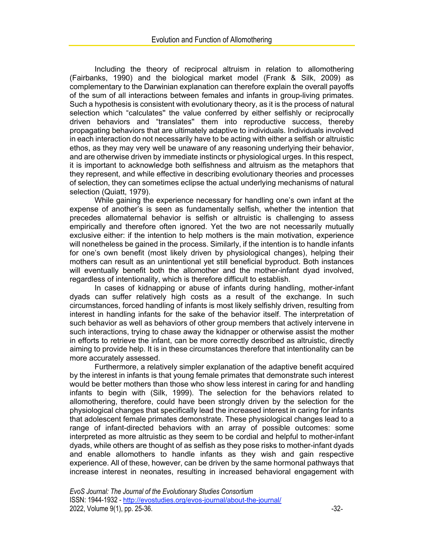Including the theory of reciprocal altruism in relation to allomothering (Fairbanks, 1990) and the biological market model (Frank & Silk, 2009) as complementary to the Darwinian explanation can therefore explain the overall payoffs of the sum of all interactions between females and infants in group-living primates. Such a hypothesis is consistent with evolutionary theory, as it is the process of natural selection which "calculates'' the value conferred by either selfishly or reciprocally driven behaviors and "translates'' them into reproductive success, thereby propagating behaviors that are ultimately adaptive to individuals. Individuals involved in each interaction do not necessarily have to be acting with either a selfish or altruistic ethos, as they may very well be unaware of any reasoning underlying their behavior, and are otherwise driven by immediate instincts or physiological urges. In this respect, it is important to acknowledge both selfishness and altruism as the metaphors that they represent, and while effective in describing evolutionary theories and processes of selection, they can sometimes eclipse the actual underlying mechanisms of natural selection (Quiatt, 1979).

While gaining the experience necessary for handling one's own infant at the expense of another's is seen as fundamentally selfish, whether the intention that precedes allomaternal behavior is selfish or altruistic is challenging to assess empirically and therefore often ignored. Yet the two are not necessarily mutually exclusive either: if the intention to help mothers is the main motivation, experience will nonetheless be gained in the process. Similarly, if the intention is to handle infants for one's own benefit (most likely driven by physiological changes), helping their mothers can result as an unintentional yet still beneficial byproduct. Both instances will eventually benefit both the allomother and the mother-infant dyad involved, regardless of intentionality, which is therefore difficult to establish.

In cases of kidnapping or abuse of infants during handling, mother-infant dyads can suffer relatively high costs as a result of the exchange. In such circumstances, forced handling of infants is most likely selfishly driven, resulting from interest in handling infants for the sake of the behavior itself. The interpretation of such behavior as well as behaviors of other group members that actively intervene in such interactions, trying to chase away the kidnapper or otherwise assist the mother in efforts to retrieve the infant, can be more correctly described as altruistic, directly aiming to provide help. It is in these circumstances therefore that intentionality can be more accurately assessed.

Furthermore, a relatively simpler explanation of the adaptive benefit acquired by the interest in infants is that young female primates that demonstrate such interest would be better mothers than those who show less interest in caring for and handling infants to begin with (Silk, 1999). The selection for the behaviors related to allomothering, therefore, could have been strongly driven by the selection for the physiological changes that specifically lead the increased interest in caring for infants that adolescent female primates demonstrate. These physiological changes lead to a range of infant-directed behaviors with an array of possible outcomes: some interpreted as more altruistic as they seem to be cordial and helpful to mother-infant dyads, while others are thought of as selfish as they pose risks to mother-infant dyads and enable allomothers to handle infants as they wish and gain respective experience. All of these, however, can be driven by the same hormonal pathways that increase interest in neonates, resulting in increased behavioral engagement with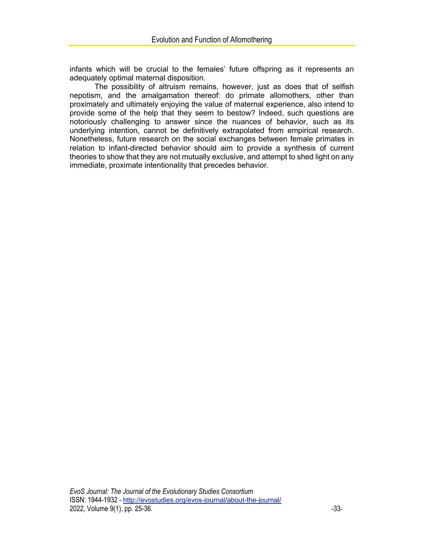infants which will be crucial to the females' future offspring as it represents an adequately optimal maternal disposition.

The possibility of altruism remains, however, just as does that of selfish nepotism, and the amalgamation thereof: do primate allomothers, other than proximately and ultimately enjoying the value of maternal experience, also intend to provide some of the help that they seem to bestow? Indeed, such questions are notoriously challenging to answer since the nuances of behavior, such as its underlying intention, cannot be definitively extrapolated from empirical research. Nonetheless, future research on the social exchanges between female primates in relation to infant-directed behavior should aim to provide a synthesis of current theories to show that they are not mutually exclusive, and attempt to shed light on any immediate, proximate intentionality that precedes behavior.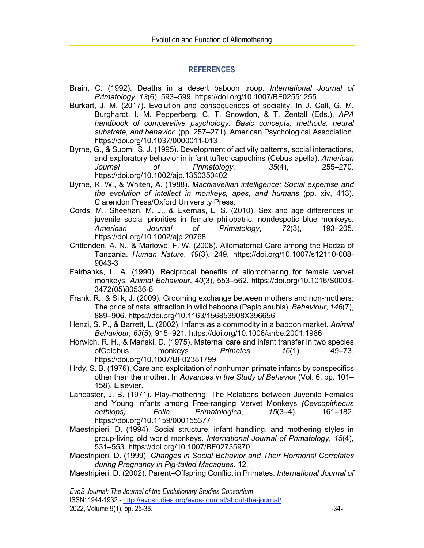## **REFERENCES**

- Brain, C. (1992). Deaths in a desert baboon troop. *International Journal of Primatology*, *13*(6), 593–599. https://doi.org/10.1007/BF02551255
- Burkart, J. M. (2017). Evolution and consequences of sociality. In J. Call, G. M. Burghardt, I. M. Pepperberg, C. T. Snowdon, & T. Zentall (Eds.), *APA handbook of comparative psychology: Basic concepts, methods, neural substrate, and behavior.* (pp. 257–271). American Psychological Association. https://doi.org/10.1037/0000011-013
- Byrne, G., & Suomi, S. J. (1995). Development of activity patterns, social interactions, and exploratory behavior in infant tufted capuchins (Cebus apella). *American Journal of Primatology*, *35*(4), 255–270. https://doi.org/10.1002/ajp.1350350402
- Byrne, R. W., & Whiten, A. (1988). *Machiavellian intelligence: Social expertise and the evolution of intellect in monkeys, apes, and humans* (pp. xiv, 413). Clarendon Press/Oxford University Press.
- Cords, M., Sheehan, M. J., & Ekernas, L. S. (2010). Sex and age differences in juvenile social priorities in female philopatric, nondespotic blue monkeys. *American Journal of Primatology*, *72*(3), 193–205. https://doi.org/10.1002/ajp.20768
- Crittenden, A. N., & Marlowe, F. W. (2008). Allomaternal Care among the Hadza of Tanzania. *Human Nature*, *19*(3), 249. https://doi.org/10.1007/s12110-008- 9043-3
- Fairbanks, L. A. (1990). Reciprocal benefits of allomothering for female vervet monkeys. *Animal Behaviour*, *40*(3), 553–562. https://doi.org/10.1016/S0003- 3472(05)80536-6
- Frank, R., & Silk, J. (2009). Grooming exchange between mothers and non-mothers: The price of natal attraction in wild baboons (Papio anubis). *Behaviour*, *146*(7), 889–906. https://doi.org/10.1163/156853908X396656
- Henzi, S. P., & Barrett, L. (2002). Infants as a commodity in a baboon market. *Animal Behaviour*, *63*(5), 915–921. https://doi.org/10.1006/anbe.2001.1986
- Horwich, R. H., & Manski, D. (1975). Maternal care and infant transfer in two species ofColobus monkeys. *Primates*, *16*(1), 49–73. https://doi.org/10.1007/BF02381799
- Hrdy, S. B. (1976). Care and exploitation of nonhuman primate infants by conspecifics other than the mother. In *Advances in the Study of Behavior* (Vol. 6, pp. 101– 158). Elsevier.
- Lancaster, J. B. (1971). Play-mothering: The Relations between Juvenile Females and Young Infants among Free-ranging Vervet Monkeys *(Cevcopithecus aethiops)*. *Folia Primatologica*, *15*(3–4), 161–182. https://doi.org/10.1159/000155377
- Maestripieri, D. (1994). Social structure, infant handling, and mothering styles in group-living old world monkeys. *International Journal of Primatology*, *15*(4), 531–553. https://doi.org/10.1007/BF02735970
- Maestripieri, D. (1999). *Changes in Social Behavior and Their Hormonal Correlates during Pregnancy in Pig-tailed Macaques*. 12.

Maestripieri, D. (2002). Parent–Offspring Conflict in Primates. *International Journal of* 

*EvoS Journal: The Journal of the Evolutionary Studies Consortium*

ISSN: 1944-1932 - http://evostudies.org/evos-journal/about-the-journal/

2022, Volume 9(1), pp. 25-36.  $-34-$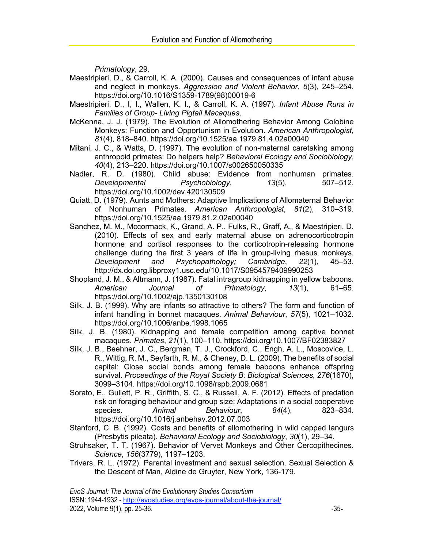*Primatology*, 29.

- Maestripieri, D., & Carroll, K. A. (2000). Causes and consequences of infant abuse and neglect in monkeys. *Aggression and Violent Behavior*, *5*(3), 245–254. https://doi.org/10.1016/S1359-1789(98)00019-6
- Maestripieri, D., I, I., Wallen, K. I., & Carroll, K. A. (1997). *Infant Abuse Runs in Families of Group- Living Pigtail Macaques*.
- McKenna, J. J. (1979). The Evolution of Allomothering Behavior Among Colobine Monkeys: Function and Opportunism in Evolution. *American Anthropologist*, *81*(4), 818–840. https://doi.org/10.1525/aa.1979.81.4.02a00040
- Mitani, J. C., & Watts, D. (1997). The evolution of non-maternal caretaking among anthropoid primates: Do helpers help? *Behavioral Ecology and Sociobiology*, *40*(4), 213–220. https://doi.org/10.1007/s002650050335
- Nadler, R. D. (1980). Child abuse: Evidence from nonhuman primates. *Developmental Psychobiology*, *13*(5), 507–512. https://doi.org/10.1002/dev.420130509
- Quiatt, D. (1979). Aunts and Mothers: Adaptive Implications of Allomaternal Behavior of Nonhuman Primates. *American Anthropologist*, *81*(2), 310–319. https://doi.org/10.1525/aa.1979.81.2.02a00040
- Sanchez, M. M., Mccormack, K., Grand, A. P., Fulks, R., Graff, A., & Maestripieri, D. (2010). Effects of sex and early maternal abuse on adrenocorticotropin hormone and cortisol responses to the corticotropin-releasing hormone challenge during the first 3 years of life in group-living rhesus monkeys. *Development and Psychopathology; Cambridge*, *22*(1), 45–53. http://dx.doi.org.libproxy1.usc.edu/10.1017/S0954579409990253
- Shopland, J. M., & Altmann, J. (1987). Fatal intragroup kidnapping in yellow baboons. *American Journal of Primatology*, *13*(1), 61–65. https://doi.org/10.1002/ajp.1350130108
- Silk, J. B. (1999). Why are infants so attractive to others? The form and function of infant handling in bonnet macaques. *Animal Behaviour*, *57*(5), 1021–1032. https://doi.org/10.1006/anbe.1998.1065
- Silk, J. B. (1980). Kidnapping and female competition among captive bonnet macaques. *Primates*, *21*(1), 100–110. https://doi.org/10.1007/BF02383827
- Silk, J. B., Beehner, J. C., Bergman, T. J., Crockford, C., Engh, A. L., Moscovice, L. R., Wittig, R. M., Seyfarth, R. M., & Cheney, D. L. (2009). The benefits of social capital: Close social bonds among female baboons enhance offspring survival. *Proceedings of the Royal Society B: Biological Sciences*, *276*(1670), 3099–3104. https://doi.org/10.1098/rspb.2009.0681
- Sorato, E., Gullett, P. R., Griffith, S. C., & Russell, A. F. (2012). Effects of predation risk on foraging behaviour and group size: Adaptations in a social cooperative species. *Animal Behaviour*, *84*(4), 823–834. https://doi.org/10.1016/j.anbehav.2012.07.003
- Stanford, C. B. (1992). Costs and benefits of allomothering in wild capped langurs (Presbytis pileata). *Behavioral Ecology and Sociobiology*, *30*(1), 29–34.
- Struhsaker, T. T. (1967). Behavior of Vervet Monkeys and Other Cercopithecines. *Science*, *156*(3779), 1197–1203.
- Trivers, R. L. (1972). Parental investment and sexual selection. Sexual Selection & the Descent of Man, Aldine de Gruyter, New York, 136-179.

ISSN: 1944-1932 - http://evostudies.org/evos-journal/about-the-journal/ 2022, Volume 9(1), pp. 25-36. **-35-8.** -35-

*EvoS Journal: The Journal of the Evolutionary Studies Consortium*